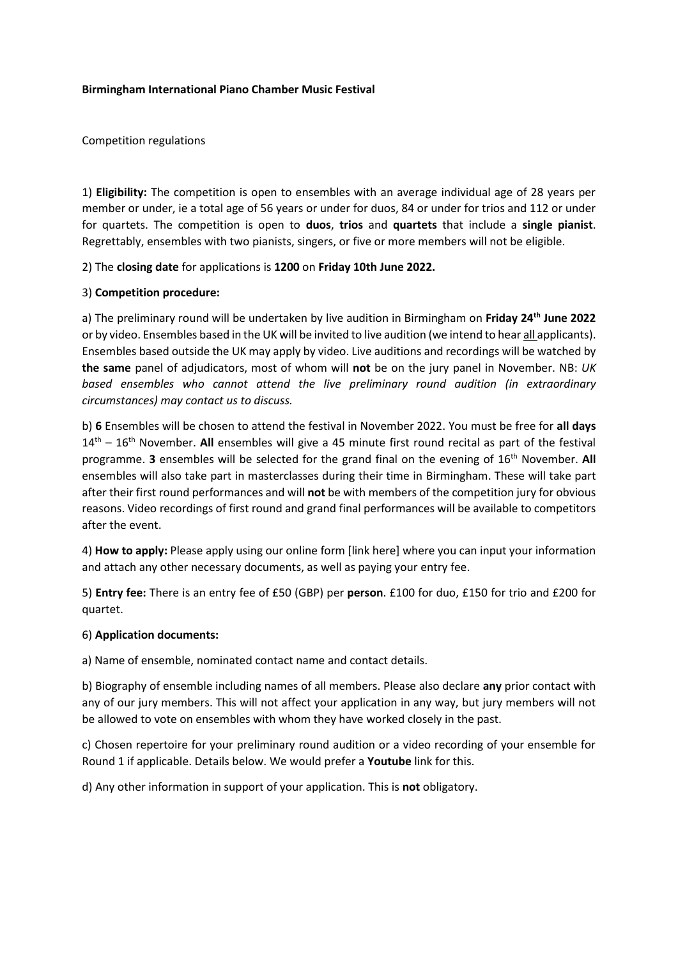## **Birmingham International Piano Chamber Music Festival**

Competition regulations

1) **Eligibility:** The competition is open to ensembles with an average individual age of 28 years per member or under, ie a total age of 56 years or under for duos, 84 or under for trios and 112 or under for quartets. The competition is open to **duos**, **trios** and **quartets** that include a **single pianist**. Regrettably, ensembles with two pianists, singers, or five or more members will not be eligible.

2) The **closing date** for applications is **1200** on **Friday 10th June 2022.**

## 3) **Competition procedure:**

a) The preliminary round will be undertaken by live audition in Birmingham on **Friday 24th June 2022** or by video. Ensembles based in the UK will be invited to live audition (we intend to hear all applicants). Ensembles based outside the UK may apply by video. Live auditions and recordings will be watched by **the same** panel of adjudicators, most of whom will **not** be on the jury panel in November. NB: *UK based ensembles who cannot attend the live preliminary round audition (in extraordinary circumstances) may contact us to discuss.*

b) **6** Ensembles will be chosen to attend the festival in November 2022. You must be free for **all days** 14th – 16th November. **All** ensembles will give a 45 minute first round recital as part of the festival programme. **3** ensembles will be selected for the grand final on the evening of 16th November. **All**  ensembles will also take part in masterclasses during their time in Birmingham. These will take part after their first round performances and will **not** be with members of the competition jury for obvious reasons. Video recordings of first round and grand final performances will be available to competitors after the event.

4) **How to apply:** Please apply using our online form [link here] where you can input your information and attach any other necessary documents, as well as paying your entry fee.

5) **Entry fee:** There is an entry fee of £50 (GBP) per **person**. £100 for duo, £150 for trio and £200 for quartet.

## 6) **Application documents:**

a) Name of ensemble, nominated contact name and contact details.

b) Biography of ensemble including names of all members. Please also declare **any** prior contact with any of our jury members. This will not affect your application in any way, but jury members will not be allowed to vote on ensembles with whom they have worked closely in the past.

c) Chosen repertoire for your preliminary round audition or a video recording of your ensemble for Round 1 if applicable. Details below. We would prefer a **Youtube** link for this.

d) Any other information in support of your application. This is **not** obligatory.